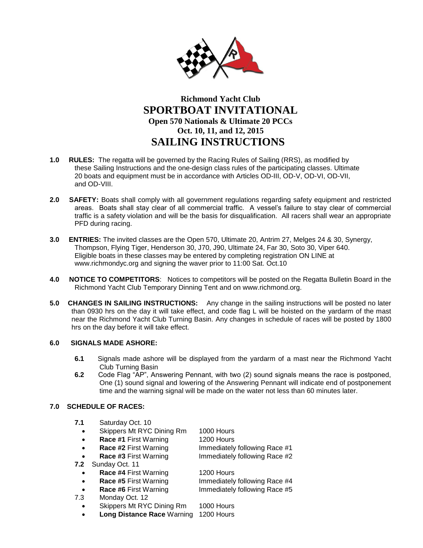

# **Richmond Yacht Club SPORTBOAT INVITATIONAL Open 570 Nationals & Ultimate 20 PCCs Oct. 10, 11, and 12, 2015 SAILING INSTRUCTIONS**

- **1.0 RULES:** The regatta will be governed by the Racing Rules of Sailing (RRS), as modified by these Sailing Instructions and the one-design class rules of the participating classes. Ultimate 20 boats and equipment must be in accordance with Articles OD-III, OD-V, OD-VI, OD-VII, and OD-VIII.
- **2.0 SAFETY:** Boats shall comply with all government regulations regarding safety equipment and restricted areas. Boats shall stay clear of all commercial traffic. A vessel's failure to stay clear of commercial traffic is a safety violation and will be the basis for disqualification. All racers shall wear an appropriate PFD during racing.
- **3.0 ENTRIES:** The invited classes are the Open 570, Ultimate 20, Antrim 27, Melges 24 & 30, Synergy, Thompson, Flying Tiger, Henderson 30, J70, J90, Ultimate 24, Far 30, Soto 30, Viper 640. Eligible boats in these classes may be entered by completing registration ON LINE at www.richmondyc.org and signing the waver prior to 11:00 Sat. Oct.10
- **4.0 NOTICE TO COMPETITORS**: Notices to competitors will be posted on the Regatta Bulletin Board in the Richmond Yacht Club Temporary Dinning Tent and on www.richmond.org.
- **5.0 CHANGES IN SAILING INSTRUCTIONS:** Any change in the sailing instructions will be posted no later than 0930 hrs on the day it will take effect, and code flag L will be hoisted on the yardarm of the mast near the Richmond Yacht Club Turning Basin. Any changes in schedule of races will be posted by 1800 hrs on the day before it will take effect.

# **6.0 SIGNALS MADE ASHORE:**

- **6.1** Signals made ashore will be displayed from the yardarm of a mast near the Richmond Yacht Club Turning Basin
- **6.2** Code Flag "AP", Answering Pennant, with two (2) sound signals means the race is postponed, One (1) sound signal and lowering of the Answering Pennant will indicate end of postponement time and the warning signal will be made on the water not less than 60 minutes later.

# **7.0 SCHEDULE OF RACES:**

| 7.1       | Saturday Oct. 10          |                               |
|-----------|---------------------------|-------------------------------|
| $\bullet$ | Skippers Mt RYC Dining Rm | 1000 Hours                    |
| $\bullet$ | Race #1 First Warning     | 1200 Hours                    |
| $\bullet$ | Race #2 First Warning     | Immediately following Race #1 |
| $\bullet$ | Race #3 First Warning     | Immediately following Race #2 |
| 7.2       | Sunday Oct. 11            |                               |
| $\bullet$ | Race #4 First Warning     | 1200 Hours                    |
| $\bullet$ | Race #5 First Warning     | Immediately following Race #4 |
| $\bullet$ | Race #6 First Warning     | Immediately following Race #5 |
| 7.3       | Monday Oct. 12            |                               |
| $\bullet$ | Skippers Mt RYC Dining Rm | 1000 Hours                    |
|           |                           |                               |

**Long Distance Race** Warning 1200 Hours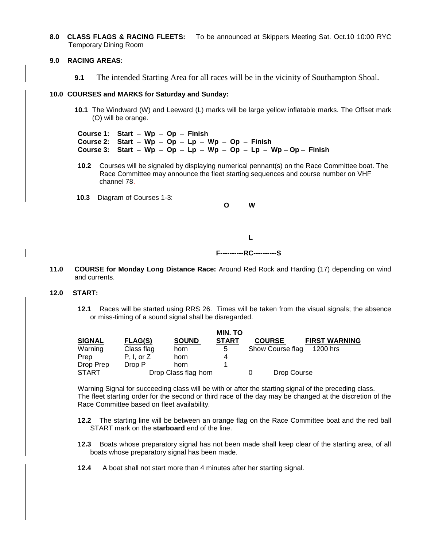**8.0 CLASS FLAGS & RACING FLEETS:** To be announced at Skippers Meeting Sat. Oct.10 10:00 RYC Temporary Dining Room

## **9.0 RACING AREAS:**

**9.1** The intended Starting Area for all races will be in the vicinity of Southampton Shoal.

#### **10.0 COURSES and MARKS for Saturday and Sunday:**

- **10.1** The Windward (W) and Leeward (L) marks will be large yellow inflatable marks. The Offset mark (O) will be orange.
- **Course 1: Start Wp Op Finish Course 2: Start – Wp – Op – Lp – Wp – Op – Finish Course 3: Start – Wp – Op – Lp – Wp – Op – Lp – Wp – Op – Finish**
- **10.2** Courses will be signaled by displaying numerical pennant(s) on the Race Committee boat. The Race Committee may announce the fleet starting sequences and course number on VHF channel 78.
- **10.3** Diagram of Courses 1-3:



**11.0 COURSE for Monday Long Distance Race:** Around Red Rock and Harding (17) depending on wind and currents.

## **12.0 START:**

**12.1** Races will be started using RRS 26. Times will be taken from the visual signals; the absence or miss-timing of a sound signal shall be disregarded.

|               | <b>MIN. TO</b> |                      |              |  |                  |                      |  |
|---------------|----------------|----------------------|--------------|--|------------------|----------------------|--|
| <b>SIGNAL</b> | <b>FLAG(S)</b> | <b>SOUND</b>         | <b>START</b> |  | <b>COURSE</b>    | <b>FIRST WARNING</b> |  |
| Warning       | Class flag     | horn                 | 5            |  | Show Course flag | 1200 hrs             |  |
| Prep          | $P. I.$ or $Z$ | horn                 | 4            |  |                  |                      |  |
| Drop Prep     | Drop P         | horn                 |              |  |                  |                      |  |
| START         |                | Drop Class flag horn |              |  |                  | Drop Course          |  |

Warning Signal for succeeding class will be with or after the starting signal of the preceding class. The fleet starting order for the second or third race of the day may be changed at the discretion of the Race Committee based on fleet availability.

- **12.2** The starting line will be between an orange flag on the Race Committee boat and the red ball START mark on the **starboard** end of the line.
- **12.3** Boats whose preparatory signal has not been made shall keep clear of the starting area, of all boats whose preparatory signal has been made.
- **12.4** A boat shall not start more than 4 minutes after her starting signal.